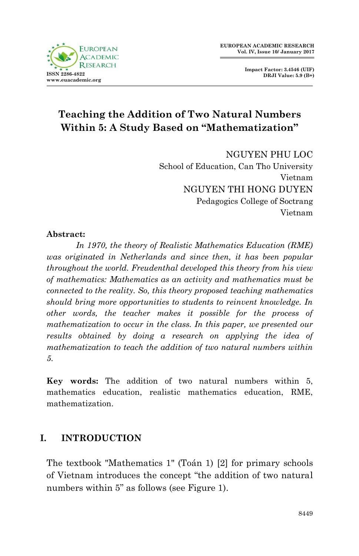

**Impact Factor: 3.4546 (UIF) DRJI Value: 5.9 (B+)**

# **Teaching the Addition of Two Natural Numbers Within 5: A Study Based on "Mathematization"**

NGUYEN PHU LOC School of Education, Can Tho University Vietnam NGUYEN THI HONG DUYEN Pedagogics College of Soctrang Vietnam

#### **Abstract:**

 *In 1970, the theory of Realistic Mathematics Education (RME) was originated in Netherlands and since then, it has been popular throughout the world. Freudenthal developed this theory from his view of mathematics: Mathematics as an activity and mathematics must be connected to the reality. So, this theory proposed teaching mathematics should bring more opportunities to students to reinvent knowledge. In other words, the teacher makes it possible for the process of mathematization to occur in the class. In this paper, we presented our results obtained by doing a research on applying the idea of mathematization to teach the addition of two natural numbers within 5.*

**Key words:** The addition of two natural numbers within 5, mathematics education, realistic mathematics education, RME, mathematization.

# **I. INTRODUCTION**

The textbook "Mathematics 1" (Toán 1) [2] for primary schools of Vietnam introduces the concept "the addition of two natural numbers within 5" as follows (see Figure 1).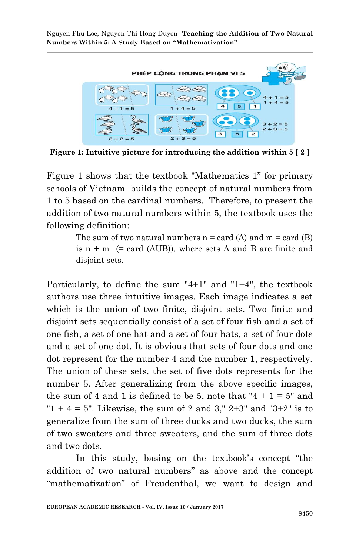

**Figure 1: Intuitive picture for introducing the addition within 5 [ 2 ]**

Figure 1 shows that the textbook "Mathematics 1" for primary schools of Vietnam builds the concept of natural numbers from 1 to 5 based on the cardinal numbers. Therefore, to present the addition of two natural numbers within 5, the textbook uses the following definition:

> The sum of two natural numbers  $n = \text{card}(A)$  and  $m = \text{card}(B)$ is  $n + m$  (= card (AUB)), where sets A and B are finite and disjoint sets.

Particularly, to define the sum "4+1" and "1+4", the textbook authors use three intuitive images. Each image indicates a set which is the union of two finite, disjoint sets. Two finite and disjoint sets sequentially consist of a set of four fish and a set of one fish, a set of one hat and a set of four hats, a set of four dots and a set of one dot. It is obvious that sets of four dots and one dot represent for the number 4 and the number 1, respectively. The union of these sets, the set of five dots represents for the number 5. After generalizing from the above specific images, the sum of 4 and 1 is defined to be 5, note that " $4 + 1 = 5$ " and " $1 + 4 = 5$ ". Likewise, the sum of 2 and 3,"  $2+3$ " and " $3+2$ " is to generalize from the sum of three ducks and two ducks, the sum of two sweaters and three sweaters, and the sum of three dots and two dots.

In this study, basing on the textbook's concept "the addition of two natural numbers" as above and the concept "mathematization" of Freudenthal, we want to design and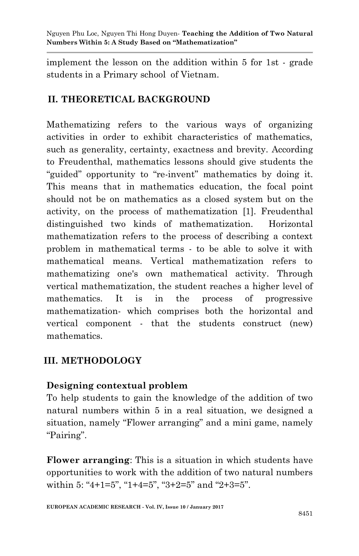implement the lesson on the addition within 5 for 1st - grade students in a Primary school of Vietnam.

# **II. THEORETICAL BACKGROUND**

Mathematizing refers to the various ways of organizing activities in order to exhibit characteristics of mathematics, such as generality, certainty, exactness and brevity. According to Freudenthal, mathematics lessons should give students the "guided" opportunity to "re-invent" mathematics by doing it. This means that in mathematics education, the focal point should not be on mathematics as a closed system but on the activity, on the process of mathematization [1]. Freudenthal distinguished two kinds of mathematization. Horizontal mathematization refers to the process of describing a context problem in mathematical terms - to be able to solve it with mathematical means. Vertical mathematization refers to mathematizing one's own mathematical activity. Through vertical mathematization, the student reaches a higher level of mathematics. It is in the process of progressive mathematization- which comprises both the horizontal and vertical component - that the students construct (new) mathematics.

# **III. METHODOLOGY**

## **Designing contextual problem**

To help students to gain the knowledge of the addition of two natural numbers within 5 in a real situation, we designed a situation, namely "Flower arranging" and a mini game, namely "Pairing".

**Flower arranging**: This is a situation in which students have opportunities to work with the addition of two natural numbers within 5: "4+1=5", "1+4=5", "3+2=5" and "2+3=5".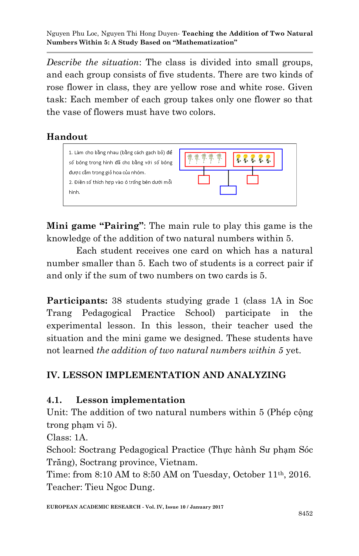*Describe the situation*: The class is divided into small groups, and each group consists of five students. There are two kinds of rose flower in class, they are yellow rose and white rose. Given task: Each member of each group takes only one flower so that the vase of flowers must have two colors.

## **Handout**



**Mini game "Pairing"**: The main rule to play this game is the knowledge of the addition of two natural numbers within 5.

Each student receives one card on which has a natural number smaller than 5. Each two of students is a correct pair if and only if the sum of two numbers on two cards is 5.

**Participants:** 38 students studying grade 1 (class 1A in Soc Trang Pedagogical Practice School) participate in the experimental lesson. In this lesson, their teacher used the situation and the mini game we designed. These students have not learned *the addition of two natural numbers within 5* yet.

#### **IV. LESSON IMPLEMENTATION AND ANALYZING**

#### **4.1. Lesson implementation**

Unit: The addition of two natural numbers within 5 (Phép cộng trong phạm vi 5).

Class: 1A.

School: Soctrang Pedagogical Practice (Thực hành Sư phạm Sóc Trăng), Soctrang province, Vietnam.

Time: from 8:10 AM to 8:50 AM on Tuesday, October 11th, 2016. Teacher: Tieu Ngoc Dung.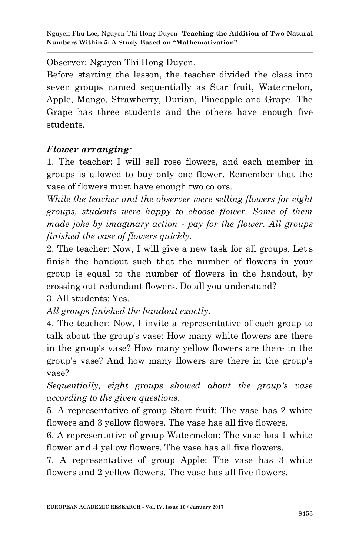Observer: Nguyen Thi Hong Duyen.

Before starting the lesson, the teacher divided the class into seven groups named sequentially as Star fruit, Watermelon, Apple, Mango, Strawberry, Durian, Pineapple and Grape. The Grape has three students and the others have enough five students.

#### *Flower arranging:*

1. The teacher: I will sell rose flowers, and each member in groups is allowed to buy only one flower. Remember that the vase of flowers must have enough two colors.

*While the teacher and the observer were selling flowers for eight groups, students were happy to choose flower. Some of them made joke by imaginary action - pay for the flower. All groups finished the vase of flowers quickly.*

2. The teacher: Now, I will give a new task for all groups. Let's finish the handout such that the number of flowers in your group is equal to the number of flowers in the handout, by crossing out redundant flowers. Do all you understand?

3. All students: Yes.

*All groups finished the handout exactly.*

4. The teacher: Now, I invite a representative of each group to talk about the group's vase: How many white flowers are there in the group's vase? How many yellow flowers are there in the group's vase? And how many flowers are there in the group's vase?

*Sequentially, eight groups showed about the group's vase according to the given questions.*

5. A representative of group Start fruit: The vase has 2 white flowers and 3 yellow flowers. The vase has all five flowers.

6. A representative of group Watermelon: The vase has 1 white flower and 4 yellow flowers. The vase has all five flowers.

7. A representative of group Apple: The vase has 3 white flowers and 2 yellow flowers. The vase has all five flowers.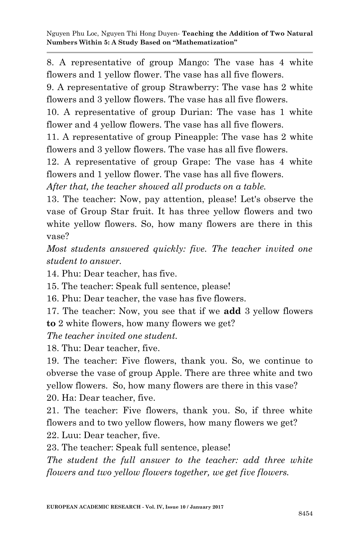8. A representative of group Mango: The vase has 4 white flowers and 1 yellow flower. The vase has all five flowers.

9. A representative of group Strawberry: The vase has 2 white flowers and 3 yellow flowers. The vase has all five flowers.

10. A representative of group Durian: The vase has 1 white flower and 4 yellow flowers. The vase has all five flowers.

11. A representative of group Pineapple: The vase has 2 white flowers and 3 yellow flowers. The vase has all five flowers.

12. A representative of group Grape: The vase has 4 white flowers and 1 yellow flower. The vase has all five flowers.

*After that, the teacher showed all products on a table.*

13. The teacher: Now, pay attention, please! Let's observe the vase of Group Star fruit. It has three yellow flowers and two white yellow flowers. So, how many flowers are there in this vase?

*Most students answered quickly: five. The teacher invited one student to answer.*

14. Phu: Dear teacher, has five.

15. The teacher: Speak full sentence, please!

16. Phu: Dear teacher, the vase has five flowers.

17. The teacher: Now, you see that if we **add** 3 yellow flowers **to** 2 white flowers, how many flowers we get?

*The teacher invited one student.* 

18. Thu: Dear teacher, five.

19. The teacher: Five flowers, thank you. So, we continue to obverse the vase of group Apple. There are three white and two yellow flowers. So, how many flowers are there in this vase? 20. Ha: Dear teacher, five.

21. The teacher: Five flowers, thank you. So, if three white flowers and to two yellow flowers, how many flowers we get?

22. Luu: Dear teacher, five.

23. The teacher: Speak full sentence, please!

*The student the full answer to the teacher: add three white flowers and two yellow flowers together, we get five flowers.*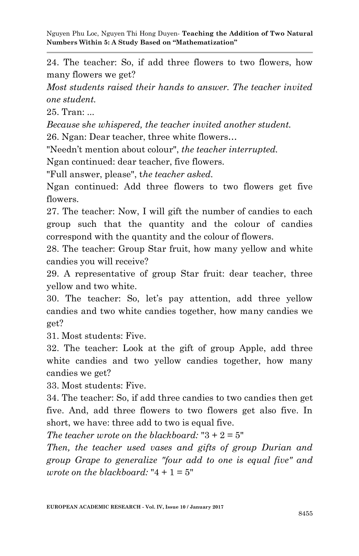24. The teacher: So, if add three flowers to two flowers, how many flowers we get?

*Most students raised their hands to answer. The teacher invited one student.*

25. Tran: ...

*Because* s*he whispered, the teacher invited another student.*

26. Ngan: Dear teacher, three white flowers…

"Needn't mention about colour", *the teacher interrupted.* 

Ngan continued: dear teacher, five flowers.

"Full answer, please", t*he teacher asked.*

Ngan continued: Add three flowers to two flowers get five flowers.

27. The teacher: Now, I will gift the number of candies to each group such that the quantity and the colour of candies correspond with the quantity and the colour of flowers.

28. The teacher: Group Star fruit, how many yellow and white candies you will receive?

29. A representative of group Star fruit: dear teacher, three yellow and two white.

30. The teacher: So, let's pay attention, add three yellow candies and two white candies together, how many candies we get?

31. Most students: Five.

32. The teacher: Look at the gift of group Apple, add three white candies and two yellow candies together, how many candies we get?

33. Most students: Five.

34. The teacher: So, if add three candies to two candies then get five. And, add three flowers to two flowers get also five. In short, we have: three add to two is equal five.

*The teacher wrote on the blackboard:* "3 + 2 = 5"

*Then, the teacher used vases and gifts of group Durian and group Grape to generalize "four add to one is equal five" and wrote on the blackboard:* " $4 + 1 = 5$ "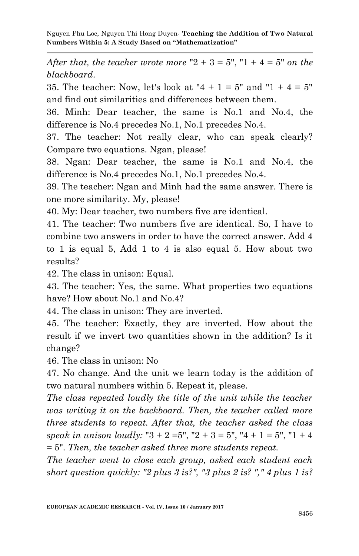*After that, the teacher wrote more*  $"2 + 3 = 5"$ ,  $"1 + 4 = 5"$  *on the blackboard*.

35. The teacher: Now, let's look at " $4 + 1 = 5$ " and " $1 + 4 = 5$ " and find out similarities and differences between them.

36. Minh: Dear teacher, the same is No.1 and No.4, the difference is No.4 precedes No.1, No.1 precedes No.4.

37. The teacher: Not really clear, who can speak clearly? Compare two equations. Ngan, please!

38. Ngan: Dear teacher, the same is No.1 and No.4, the difference is No.4 precedes No.1, No.1 precedes No.4.

39. The teacher: Ngan and Minh had the same answer. There is one more similarity. My, please!

40. My: Dear teacher, two numbers five are identical.

41. The teacher: Two numbers five are identical. So, I have to combine two answers in order to have the correct answer. Add 4 to 1 is equal 5, Add 1 to 4 is also equal 5. How about two results?

42. The class in unison: Equal.

43. The teacher: Yes, the same. What properties two equations have? How about No.1 and No.4?

44. The class in unison: They are inverted.

45. The teacher: Exactly, they are inverted. How about the result if we invert two quantities shown in the addition? Is it change?

46. The class in unison: No

47. No change. And the unit we learn today is the addition of two natural numbers within 5. Repeat it, please.

*The class repeated loudly the title of the unit while the teacher was writing it on the backboard. Then, the teacher called more three students to repeat. After that, the teacher asked the class*  speak in unison loudly: " $3 + 2 = 5$ ", " $2 + 3 = 5$ ", " $4 + 1 = 5$ ", " $1 + 4$ = 5". *Then, the teacher asked three more students repeat.*

*The teacher went to close each group, asked each student each short question quickly: "2 plus 3 is?", "3 plus 2 is? "," 4 plus 1 is?*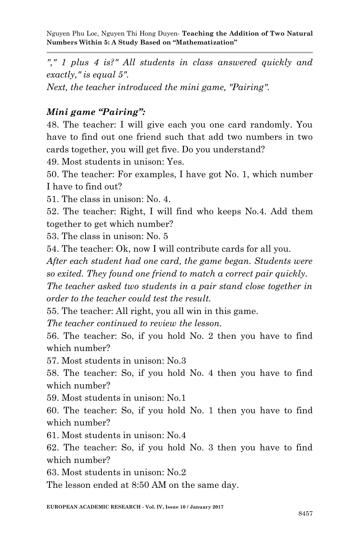*"," 1 plus 4 is?" All students in class answered quickly and exactly," is equal 5".*

*Next, the teacher introduced the mini game, "Pairing".*

#### *Mini game "Pairing":*

48. The teacher: I will give each you one card randomly. You have to find out one friend such that add two numbers in two cards together, you will get five. Do you understand?

49. Most students in unison: Yes.

50. The teacher: For examples, I have got No. 1, which number I have to find out?

51. The class in unison: No. 4.

52. The teacher: Right, I will find who keeps No.4. Add them together to get which number?

53. The class in unison: No. 5

54. The teacher: Ok, now I will contribute cards for all you.

*After each student had one card, the game began. Students were so exited. They found one friend to match a correct pair quickly.*

*The teacher asked two students in a pair stand close together in order to the teacher could test the result.*

55. The teacher: All right, you all win in this game.

*The teacher continued to review the lesson.*

56. The teacher: So, if you hold No. 2 then you have to find which number?

57. Most students in unison: No.3

58. The teacher: So, if you hold No. 4 then you have to find which number?

59. Most students in unison: No.1

60. The teacher: So, if you hold No. 1 then you have to find which number?

61. Most students in unison: No.4

62. The teacher: So, if you hold No. 3 then you have to find which number?

63. Most students in unison: No.2

The lesson ended at 8:50 AM on the same day.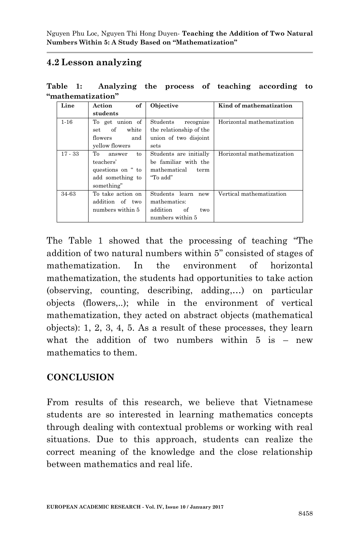## **4.2 Lesson analyzing**

|  | Table 1: Analyzing the process of teaching according to |  |  |  |
|--|---------------------------------------------------------|--|--|--|
|  | "mathematization"                                       |  |  |  |

| Line      | of<br>Action       | Objective               | Kind of mathematization    |
|-----------|--------------------|-------------------------|----------------------------|
|           | students           |                         |                            |
| $1 - 16$  | To get union of    | Students<br>recognize   | Horizontal mathematization |
|           | of<br>white<br>set | the relationship of the |                            |
|           | and<br>flowers     | union of two disjoint   |                            |
|           | vellow flowers     | sets                    |                            |
| $17 - 33$ | To<br>to<br>answer | Students are initially  | Horizontal mathematization |
|           | teachers'          | be familiar with the    |                            |
|           | questions on " to  | mathematical<br>term    |                            |
|           | add something to   | "To add"                |                            |
|           | something"         |                         |                            |
| 34-63     | To take action on  | Students learn<br>new   | Vertical mathematization   |
|           | addition of two    | mathematics:            |                            |
|           | numbers within 5   | addition<br>of<br>two   |                            |
|           |                    | numbers within 5        |                            |

The Table 1 showed that the processing of teaching "The addition of two natural numbers within 5" consisted of stages of mathematization. In the environment of horizontal mathematization, the students had opportunities to take action (observing, counting, describing, adding,…) on particular objects (flowers,..); while in the environment of vertical mathematization, they acted on abstract objects (mathematical objects): 1, 2, 3, 4, 5. As a result of these processes, they learn what the addition of two numbers within  $5$  is  $-$  new mathematics to them.

#### **CONCLUSION**

From results of this research, we believe that Vietnamese students are so interested in learning mathematics concepts through dealing with contextual problems or working with real situations. Due to this approach, students can realize the correct meaning of the knowledge and the close relationship between mathematics and real life.